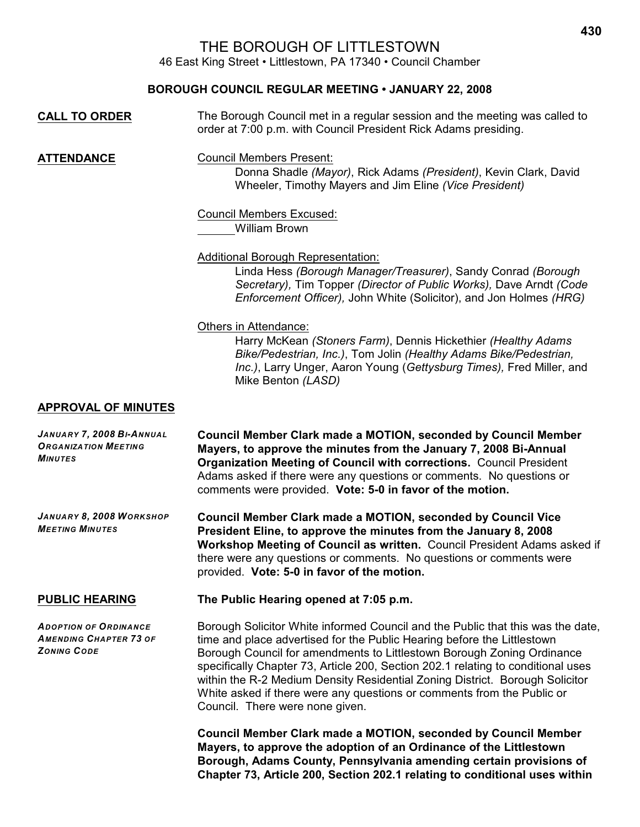# THE BOROUGH OF LITTLESTOWN

46 East King Street • Littlestown, PA 17340 • Council Chamber

### **BOROUGH COUNCIL REGULAR MEETING • JANUARY 22, 2008**

| <b>CALL TO ORDER</b>                                                                | The Borough Council met in a regular session and the meeting was called to<br>order at 7:00 p.m. with Council President Rick Adams presiding.                                                                                                                                                                                                                                                                                                                                                                         |
|-------------------------------------------------------------------------------------|-----------------------------------------------------------------------------------------------------------------------------------------------------------------------------------------------------------------------------------------------------------------------------------------------------------------------------------------------------------------------------------------------------------------------------------------------------------------------------------------------------------------------|
| <b>ATTENDANCE</b>                                                                   | <b>Council Members Present:</b><br>Donna Shadle (Mayor), Rick Adams (President), Kevin Clark, David<br>Wheeler, Timothy Mayers and Jim Eline (Vice President)                                                                                                                                                                                                                                                                                                                                                         |
|                                                                                     | <b>Council Members Excused:</b><br><b>William Brown</b>                                                                                                                                                                                                                                                                                                                                                                                                                                                               |
|                                                                                     | Additional Borough Representation:<br>Linda Hess (Borough Manager/Treasurer), Sandy Conrad (Borough<br>Secretary), Tim Topper (Director of Public Works), Dave Arndt (Code<br>Enforcement Officer), John White (Solicitor), and Jon Holmes (HRG)                                                                                                                                                                                                                                                                      |
|                                                                                     | Others in Attendance:<br>Harry McKean (Stoners Farm), Dennis Hickethier (Healthy Adams<br>Bike/Pedestrian, Inc.), Tom Jolin (Healthy Adams Bike/Pedestrian,<br>Inc.), Larry Unger, Aaron Young (Gettysburg Times), Fred Miller, and<br>Mike Benton (LASD)                                                                                                                                                                                                                                                             |
| <b>APPROVAL OF MINUTES</b>                                                          |                                                                                                                                                                                                                                                                                                                                                                                                                                                                                                                       |
| JANUARY 7, 2008 BI-ANNUAL<br><b>ORGANIZATION MEETING</b><br><b>MINUTES</b>          | <b>Council Member Clark made a MOTION, seconded by Council Member</b><br>Mayers, to approve the minutes from the January 7, 2008 Bi-Annual<br><b>Organization Meeting of Council with corrections.</b> Council President<br>Adams asked if there were any questions or comments. No questions or<br>comments were provided. Vote: 5-0 in favor of the motion.                                                                                                                                                         |
| JANUARY 8, 2008 WORKSHOP<br><b>MEETING MINUTES</b>                                  | <b>Council Member Clark made a MOTION, seconded by Council Vice</b><br>President Eline, to approve the minutes from the January 8, 2008<br>Workshop Meeting of Council as written. Council President Adams asked if<br>there were any questions or comments. No questions or comments were<br>provided. Vote: 5-0 in favor of the motion.                                                                                                                                                                             |
| <b>PUBLIC HEARING</b>                                                               | The Public Hearing opened at 7:05 p.m.                                                                                                                                                                                                                                                                                                                                                                                                                                                                                |
| <b>ADOPTION OF ORDINANCE</b><br><b>AMENDING CHAPTER 73 OF</b><br><b>ZONING CODE</b> | Borough Solicitor White informed Council and the Public that this was the date,<br>time and place advertised for the Public Hearing before the Littlestown<br>Borough Council for amendments to Littlestown Borough Zoning Ordinance<br>specifically Chapter 73, Article 200, Section 202.1 relating to conditional uses<br>within the R-2 Medium Density Residential Zoning District. Borough Solicitor<br>White asked if there were any questions or comments from the Public or<br>Council. There were none given. |
|                                                                                     | <b>Council Member Clark made a MOTION, seconded by Council Member</b><br>Mayers, to approve the adoption of an Ordinance of the Littlestown<br>Borough, Adams County, Pennsylvania amending certain provisions of                                                                                                                                                                                                                                                                                                     |

**Chapter 73, Article 200, Section 202.1 relating to conditional uses within**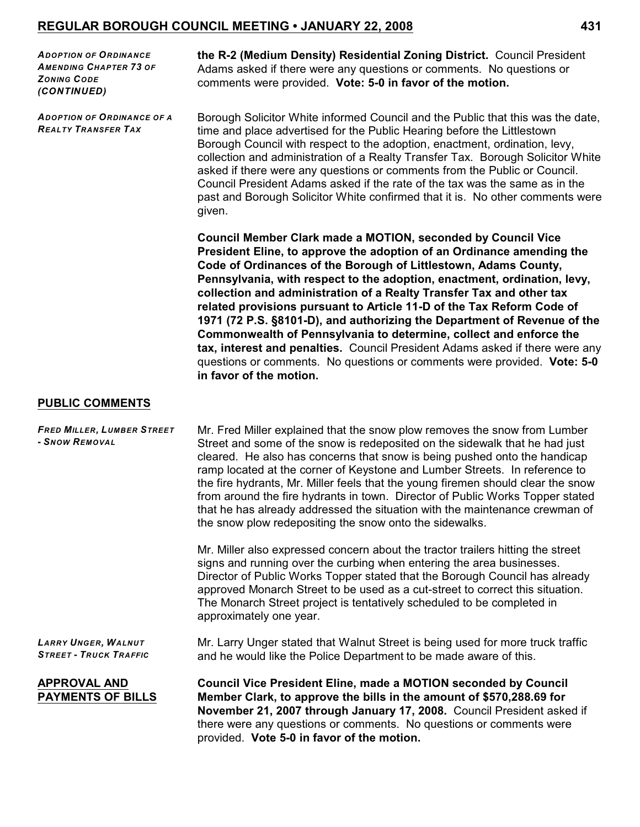*ADOPTION OF ORDINANCE AMENDING CHAPTER 73 OF ZONING CODE (CONTINUED)*

*ADOPTION OF ORDINANCE OF A REALTY TRANSFER TAX*

**the R-2 (Medium Density) Residential Zoning District.** Council President Adams asked if there were any questions or comments. No questions or comments were provided. **Vote: 5-0 in favor of the motion.** 

Borough Solicitor White informed Council and the Public that this was the date, time and place advertised for the Public Hearing before the Littlestown Borough Council with respect to the adoption, enactment, ordination, levy, collection and administration of a Realty Transfer Tax. Borough Solicitor White asked if there were any questions or comments from the Public or Council. Council President Adams asked if the rate of the tax was the same as in the past and Borough Solicitor White confirmed that it is. No other comments were given.

**Council Member Clark made a MOTION, seconded by Council Vice President Eline, to approve the adoption of an Ordinance amending the Code of Ordinances of the Borough of Littlestown, Adams County, Pennsylvania, with respect to the adoption, enactment, ordination, levy, collection and administration of a Realty Transfer Tax and other tax related provisions pursuant to Article 11-D of the Tax Reform Code of 1971 (72 P.S. §8101-D), and authorizing the Department of Revenue of the Commonwealth of Pennsylvania to determine, collect and enforce the tax, interest and penalties.** Council President Adams asked if there were any questions or comments. No questions or comments were provided. **Vote: 5-0 in favor of the motion.** 

#### **PUBLIC COMMENTS**

| <b>FRED MILLER, LUMBER STREET</b><br>- SNOW REMOVAL         | Mr. Fred Miller explained that the snow plow removes the snow from Lumber<br>Street and some of the snow is redeposited on the sidewalk that he had just<br>cleared. He also has concerns that snow is being pushed onto the handicap<br>ramp located at the corner of Keystone and Lumber Streets. In reference to<br>the fire hydrants, Mr. Miller feels that the young firemen should clear the snow<br>from around the fire hydrants in town. Director of Public Works Topper stated<br>that he has already addressed the situation with the maintenance crewman of<br>the snow plow redepositing the snow onto the sidewalks. |
|-------------------------------------------------------------|------------------------------------------------------------------------------------------------------------------------------------------------------------------------------------------------------------------------------------------------------------------------------------------------------------------------------------------------------------------------------------------------------------------------------------------------------------------------------------------------------------------------------------------------------------------------------------------------------------------------------------|
|                                                             | Mr. Miller also expressed concern about the tractor trailers hitting the street<br>signs and running over the curbing when entering the area businesses.<br>Director of Public Works Topper stated that the Borough Council has already<br>approved Monarch Street to be used as a cut-street to correct this situation.<br>The Monarch Street project is tentatively scheduled to be completed in<br>approximately one year.                                                                                                                                                                                                      |
| <b>LARRY UNGER, WALNUT</b><br><b>STREET - TRUCK TRAFFIC</b> | Mr. Larry Unger stated that Walnut Street is being used for more truck traffic<br>and he would like the Police Department to be made aware of this.                                                                                                                                                                                                                                                                                                                                                                                                                                                                                |
| <b>APPROVAL AND</b><br><b>PAYMENTS OF BILLS</b>             | <b>Council Vice President Eline, made a MOTION seconded by Council</b><br>Member Clark, to approve the bills in the amount of \$570,288.69 for<br>November 21, 2007 through January 17, 2008. Council President asked if<br>there were any questions or comments. No questions or comments were<br>provided. Vote 5-0 in favor of the motion.                                                                                                                                                                                                                                                                                      |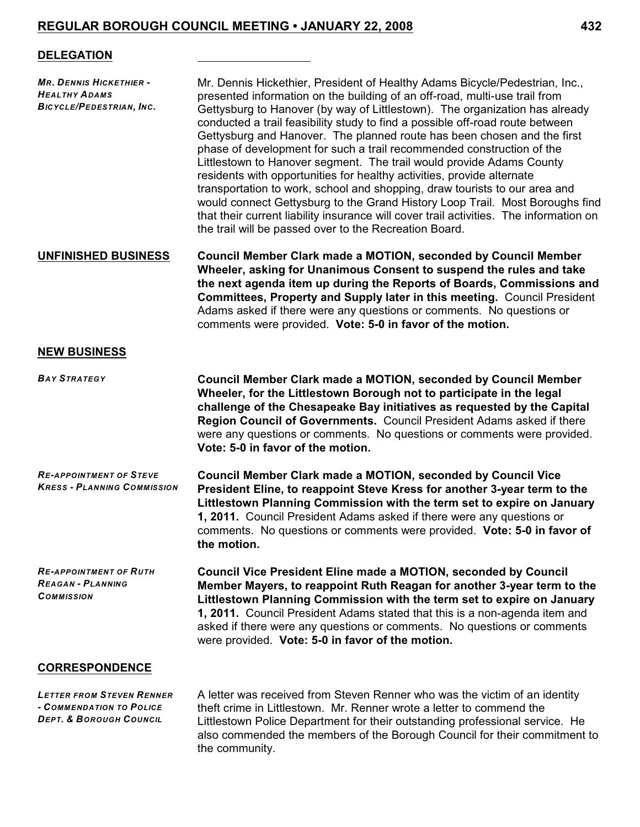#### **DELEGATION**

| <b>MR. DENNIS HICKETHIER -</b><br><b>HEALTHY ADAMS</b><br><b>BICYCLE/PEDESTRIAN, INC.</b> | Mr. Dennis Hickethier, President of Healthy Adams Bicycle/Pedestrian, Inc.,<br>presented information on the building of an off-road, multi-use trail from<br>Gettysburg to Hanover (by way of Littlestown). The organization has already<br>conducted a trail feasibility study to find a possible off-road route between<br>Gettysburg and Hanover. The planned route has been chosen and the first<br>phase of development for such a trail recommended construction of the<br>Littlestown to Hanover segment. The trail would provide Adams County<br>residents with opportunities for healthy activities, provide alternate<br>transportation to work, school and shopping, draw tourists to our area and<br>would connect Gettysburg to the Grand History Loop Trail. Most Boroughs find<br>that their current liability insurance will cover trail activities. The information on<br>the trail will be passed over to the Recreation Board. |
|-------------------------------------------------------------------------------------------|---------------------------------------------------------------------------------------------------------------------------------------------------------------------------------------------------------------------------------------------------------------------------------------------------------------------------------------------------------------------------------------------------------------------------------------------------------------------------------------------------------------------------------------------------------------------------------------------------------------------------------------------------------------------------------------------------------------------------------------------------------------------------------------------------------------------------------------------------------------------------------------------------------------------------------------------------|
| <b>UNFINISHED BUSINESS</b>                                                                | <b>Council Member Clark made a MOTION, seconded by Council Member</b><br>Wheeler, asking for Unanimous Consent to suspend the rules and take<br>the next agenda item up during the Reports of Boards, Commissions and<br><b>Committees, Property and Supply later in this meeting. Council President</b><br>Adams asked if there were any questions or comments. No questions or<br>comments were provided. Vote: 5-0 in favor of the motion.                                                                                                                                                                                                                                                                                                                                                                                                                                                                                                     |
| <b>NEW BUSINESS</b>                                                                       |                                                                                                                                                                                                                                                                                                                                                                                                                                                                                                                                                                                                                                                                                                                                                                                                                                                                                                                                                   |
| <b>BAY STRATEGY</b>                                                                       | <b>Council Member Clark made a MOTION, seconded by Council Member</b><br>Wheeler, for the Littlestown Borough not to participate in the legal<br>challenge of the Chesapeake Bay initiatives as requested by the Capital<br>Region Council of Governments. Council President Adams asked if there<br>were any questions or comments. No questions or comments were provided.<br>Vote: 5-0 in favor of the motion.                                                                                                                                                                                                                                                                                                                                                                                                                                                                                                                                 |
| <b>RE-APPOINTMENT OF STEVE</b><br><b>KRESS - PLANNING COMMISSION</b>                      | <b>Council Member Clark made a MOTION, seconded by Council Vice</b><br>President Eline, to reappoint Steve Kress for another 3-year term to the<br>Littlestown Planning Commission with the term set to expire on January<br>1, 2011. Council President Adams asked if there were any questions or<br>comments. No questions or comments were provided. Vote: 5-0 in favor of<br>the motion.                                                                                                                                                                                                                                                                                                                                                                                                                                                                                                                                                      |
| <b>RE-APPOINTMENT OF RUTH</b><br><b>REAGAN - PLANNING</b><br><b>COMMISSION</b>            | <b>Council Vice President Eline made a MOTION, seconded by Council</b><br>Member Mayers, to reappoint Ruth Reagan for another 3-year term to the<br>Littlestown Planning Commission with the term set to expire on January<br>1, 2011. Council President Adams stated that this is a non-agenda item and<br>asked if there were any questions or comments. No questions or comments<br>were provided. Vote: 5-0 in favor of the motion.                                                                                                                                                                                                                                                                                                                                                                                                                                                                                                           |
| <b>CORRESPONDENCE</b>                                                                     |                                                                                                                                                                                                                                                                                                                                                                                                                                                                                                                                                                                                                                                                                                                                                                                                                                                                                                                                                   |
| <b>LETTER FROM STEVEN RENNER</b><br>- COMMENDATION TO POLICE                              | A letter was received from Steven Renner who was the victim of an identity<br>theft crime in Littlestown. Mr. Renner wrote a letter to commend the                                                                                                                                                                                                                                                                                                                                                                                                                                                                                                                                                                                                                                                                                                                                                                                                |

*DEPT. & BOROUGH COUNCIL*

 ${\rm eff}$  crime in Littlestown. Mr. Renner wrote a letter to commend the Littlestown Police Department for their outstanding professional service. He also commended the members of the Borough Council for their commitment to the community.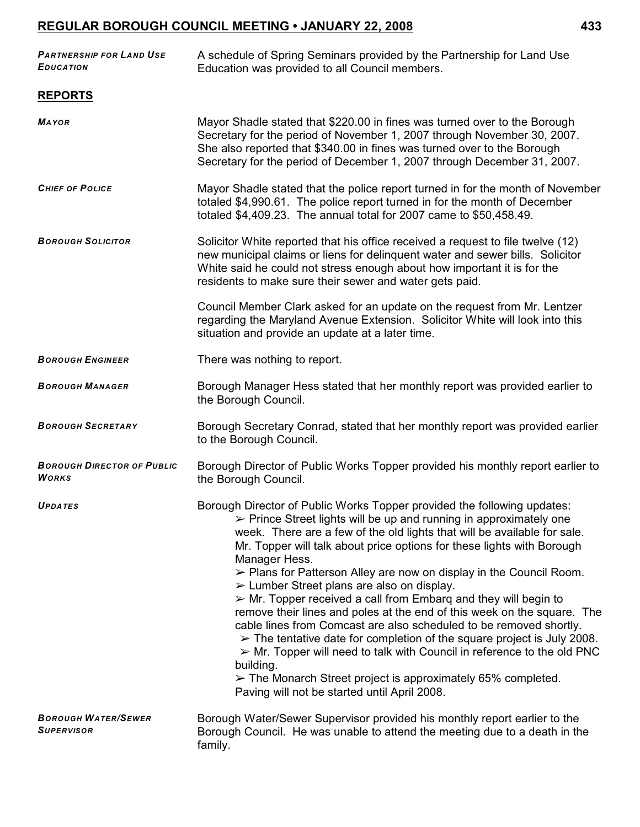| <b>PARTNERSHIP FOR LAND USE</b><br><b>EDUCATION</b> | A schedule of Spring Seminars provided by the Partnership for Land Use<br>Education was provided to all Council members.                                                                                                                                                                                                                                                                                                                                                                                                                                                                                                                                                                                                                                                                                                                                                                                                                                                                                                                   |
|-----------------------------------------------------|--------------------------------------------------------------------------------------------------------------------------------------------------------------------------------------------------------------------------------------------------------------------------------------------------------------------------------------------------------------------------------------------------------------------------------------------------------------------------------------------------------------------------------------------------------------------------------------------------------------------------------------------------------------------------------------------------------------------------------------------------------------------------------------------------------------------------------------------------------------------------------------------------------------------------------------------------------------------------------------------------------------------------------------------|
| <b>REPORTS</b>                                      |                                                                                                                                                                                                                                                                                                                                                                                                                                                                                                                                                                                                                                                                                                                                                                                                                                                                                                                                                                                                                                            |
| <b>MAYOR</b>                                        | Mayor Shadle stated that \$220.00 in fines was turned over to the Borough<br>Secretary for the period of November 1, 2007 through November 30, 2007.<br>She also reported that \$340.00 in fines was turned over to the Borough<br>Secretary for the period of December 1, 2007 through December 31, 2007.                                                                                                                                                                                                                                                                                                                                                                                                                                                                                                                                                                                                                                                                                                                                 |
| <b>CHIEF OF POLICE</b>                              | Mayor Shadle stated that the police report turned in for the month of November<br>totaled \$4,990.61. The police report turned in for the month of December<br>totaled \$4,409.23. The annual total for 2007 came to \$50,458.49.                                                                                                                                                                                                                                                                                                                                                                                                                                                                                                                                                                                                                                                                                                                                                                                                          |
| <b>BOROUGH SOLICITOR</b>                            | Solicitor White reported that his office received a request to file twelve (12)<br>new municipal claims or liens for delinquent water and sewer bills. Solicitor<br>White said he could not stress enough about how important it is for the<br>residents to make sure their sewer and water gets paid.                                                                                                                                                                                                                                                                                                                                                                                                                                                                                                                                                                                                                                                                                                                                     |
|                                                     | Council Member Clark asked for an update on the request from Mr. Lentzer<br>regarding the Maryland Avenue Extension. Solicitor White will look into this<br>situation and provide an update at a later time.                                                                                                                                                                                                                                                                                                                                                                                                                                                                                                                                                                                                                                                                                                                                                                                                                               |
| <b>BOROUGH ENGINEER</b>                             | There was nothing to report.                                                                                                                                                                                                                                                                                                                                                                                                                                                                                                                                                                                                                                                                                                                                                                                                                                                                                                                                                                                                               |
| <b>BOROUGH MANAGER</b>                              | Borough Manager Hess stated that her monthly report was provided earlier to<br>the Borough Council.                                                                                                                                                                                                                                                                                                                                                                                                                                                                                                                                                                                                                                                                                                                                                                                                                                                                                                                                        |
| <b>BOROUGH SECRETARY</b>                            | Borough Secretary Conrad, stated that her monthly report was provided earlier<br>to the Borough Council.                                                                                                                                                                                                                                                                                                                                                                                                                                                                                                                                                                                                                                                                                                                                                                                                                                                                                                                                   |
| <b>BOROUGH DIRECTOR OF PUBLIC</b><br><b>WORKS</b>   | Borough Director of Public Works Topper provided his monthly report earlier to<br>the Borough Council.                                                                                                                                                                                                                                                                                                                                                                                                                                                                                                                                                                                                                                                                                                                                                                                                                                                                                                                                     |
| UPDATES                                             | Borough Director of Public Works Topper provided the following updates:<br>> Prince Street lights will be up and running in approximately one<br>week. There are a few of the old lights that will be available for sale.<br>Mr. Topper will talk about price options for these lights with Borough<br>Manager Hess.<br>$\triangleright$ Plans for Patterson Alley are now on display in the Council Room.<br>$\triangleright$ Lumber Street plans are also on display.<br>$\triangleright$ Mr. Topper received a call from Embarg and they will begin to<br>remove their lines and poles at the end of this week on the square. The<br>cable lines from Comcast are also scheduled to be removed shortly.<br>$\triangleright$ The tentative date for completion of the square project is July 2008.<br>$\triangleright$ Mr. Topper will need to talk with Council in reference to the old PNC<br>building.<br>$\triangleright$ The Monarch Street project is approximately 65% completed.<br>Paving will not be started until April 2008. |
| <b>BOROUGH WATER/SEWER</b><br><b>SUPERVISOR</b>     | Borough Water/Sewer Supervisor provided his monthly report earlier to the<br>Borough Council. He was unable to attend the meeting due to a death in the<br>family.                                                                                                                                                                                                                                                                                                                                                                                                                                                                                                                                                                                                                                                                                                                                                                                                                                                                         |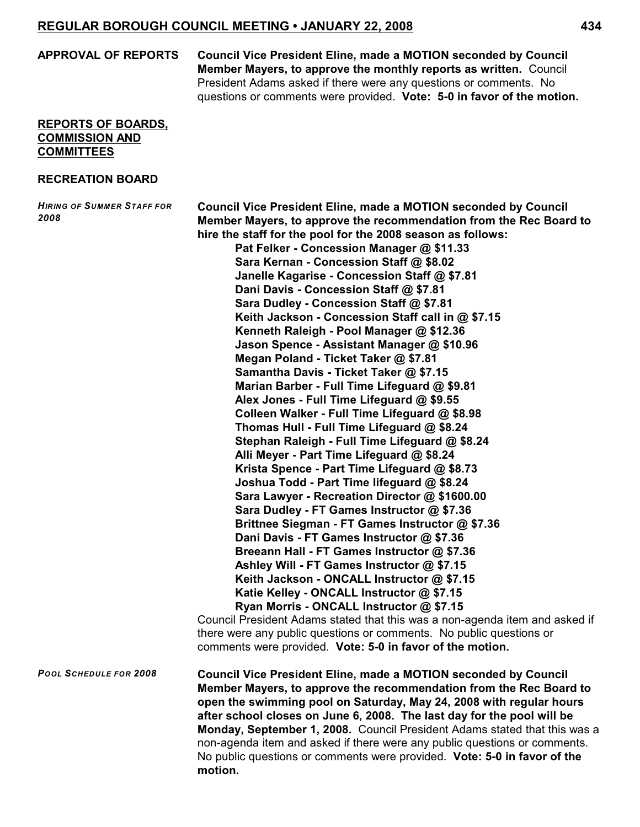**APPROVAL OF REPORTS Council Vice President Eline, made a MOTION seconded by Council Member Mayers, to approve the monthly reports as written.** Council President Adams asked if there were any questions or comments. No questions or comments were provided. **Vote: 5-0 in favor of the motion.**

#### **REPORTS OF BOARDS, COMMISSION AND COMMITTEES**

#### **RECREATION BOARD**

*HIRING OF SUMMER STAFF FOR 2008* **Council Vice President Eline, made a MOTION seconded by Council Member Mayers, to approve the recommendation from the Rec Board to hire the staff for the pool for the 2008 season as follows: Pat Felker - Concession Manager @ \$11.33 Sara Kernan - Concession Staff @ \$8.02 Janelle Kagarise - Concession Staff @ \$7.81 Dani Davis - Concession Staff @ \$7.81 Sara Dudley - Concession Staff @ \$7.81 Keith Jackson - Concession Staff call in @ \$7.15 Kenneth Raleigh - Pool Manager @ \$12.36 Jason Spence - Assistant Manager @ \$10.96 Megan Poland - Ticket Taker @ \$7.81 Samantha Davis - Ticket Taker @ \$7.15 Marian Barber - Full Time Lifeguard @ \$9.81 Alex Jones - Full Time Lifeguard @ \$9.55 Colleen Walker - Full Time Lifeguard @ \$8.98 Thomas Hull - Full Time Lifeguard @ \$8.24 Stephan Raleigh - Full Time Lifeguard @ \$8.24 Alli Meyer - Part Time Lifeguard @ \$8.24 Krista Spence - Part Time Lifeguard @ \$8.73 Joshua Todd - Part Time lifeguard @ \$8.24 Sara Lawyer - Recreation Director @ \$1600.00 Sara Dudley - FT Games Instructor @ \$7.36 Brittnee Siegman - FT Games Instructor @ \$7.36 Dani Davis - FT Games Instructor @ \$7.36 Breeann Hall - FT Games Instructor @ \$7.36 Ashley Will - FT Games Instructor @ \$7.15 Keith Jackson - ONCALL Instructor @ \$7.15 Katie Kelley - ONCALL Instructor @ \$7.15 Ryan Morris - ONCALL Instructor @ \$7.15** Council President Adams stated that this was a non-agenda item and asked if there were any public questions or comments. No public questions or comments were provided. **Vote: 5-0 in favor of the motion.** *POOL SCHEDULE FOR 2008* **Council Vice President Eline, made a MOTION seconded by Council Member Mayers, to approve the recommendation from the Rec Board to open the swimming pool on Saturday, May 24, 2008 with regular hours after school closes on June 6, 2008. The last day for the pool will be Monday, September 1, 2008.** Council President Adams stated that this was a non-agenda item and asked if there were any public questions or comments. No public questions or comments were provided. **Vote: 5-0 in favor of the motion.**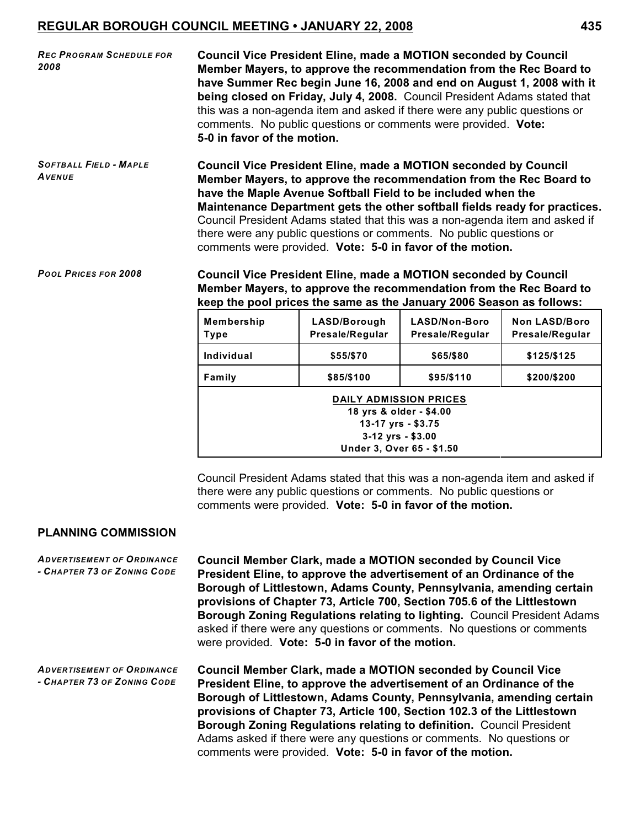| <b>REC PROGRAM SCHEDULE FOR</b><br>2008                                             | <b>Council Vice President Eline, made a MOTION seconded by Council</b><br>Member Mayers, to approve the recommendation from the Rec Board to<br>have Summer Rec begin June 16, 2008 and end on August 1, 2008 with it<br>being closed on Friday, July 4, 2008. Council President Adams stated that<br>this was a non-agenda item and asked if there were any public questions or<br>comments. No public questions or comments were provided. Vote:<br>5-0 in favor of the motion. |
|-------------------------------------------------------------------------------------|-----------------------------------------------------------------------------------------------------------------------------------------------------------------------------------------------------------------------------------------------------------------------------------------------------------------------------------------------------------------------------------------------------------------------------------------------------------------------------------|
| $S$ $C$ $T$ $D$ $A$ $I$ $I$ $E$ $I$ $D$ $I$ $E$ $I$ $I$ $I$ $I$ $I$ $I$ $E$ $I$ $E$ | Council Vice President Eline, made a MOTION seconded by Council                                                                                                                                                                                                                                                                                                                                                                                                                   |

*SOFTBALL FIELD - MAPLE AVENUE* **Council Vice President Eline, made a MOTION seconded by Council Member Mayers, to approve the recommendation from the Rec Board to have the Maple Avenue Softball Field to be included when the Maintenance Department gets the other softball fields ready for practices.**  Council President Adams stated that this was a non-agenda item and asked if there were any public questions or comments. No public questions or comments were provided. **Vote: 5-0 in favor of the motion.**

*POOL PRICES FOR 2008* **Council Vice President Eline, made a MOTION seconded by Council Member Mayers, to approve the recommendation from the Rec Board to keep the pool prices the same as the January 2006 Season as follows:**

| <b>Membership</b><br>Type                                                                                                          | LASD/Borough<br>Presale/Regular | LASD/Non-Boro<br>Presale/Regular | <b>Non LASD/Boro</b><br>Presale/Regular |
|------------------------------------------------------------------------------------------------------------------------------------|---------------------------------|----------------------------------|-----------------------------------------|
| Individual                                                                                                                         | \$55/\$70                       | \$65/\$80                        | \$125/\$125                             |
| Family                                                                                                                             | \$85/\$100                      | \$95/\$110                       | \$200/\$200                             |
| <b>DAILY ADMISSION PRICES</b><br>18 yrs & older - \$4.00<br>13-17 yrs - \$3.75<br>$3-12$ yrs - \$3.00<br>Under 3, Over 65 - \$1.50 |                                 |                                  |                                         |

Council President Adams stated that this was a non-agenda item and asked if there were any public questions or comments. No public questions or comments were provided. **Vote: 5-0 in favor of the motion.**

#### **PLANNING COMMISSION**

*ADVERTISEMENT OF ORDINANCE - CHAPTER 73 OF ZONING CODE* **Council Member Clark, made a MOTION seconded by Council Vice President Eline, to approve the advertisement of an Ordinance of the Borough of Littlestown, Adams County, Pennsylvania, amending certain provisions of Chapter 73, Article 700, Section 705.6 of the Littlestown Borough Zoning Regulations relating to lighting.** Council President Adams asked if there were any questions or comments. No questions or comments were provided. **Vote: 5-0 in favor of the motion.**

*ADVERTISEMENT OF ORDINANCE - CHAPTER 73 OF ZONING CODE* **Council Member Clark, made a MOTION seconded by Council Vice President Eline, to approve the advertisement of an Ordinance of the Borough of Littlestown, Adams County, Pennsylvania, amending certain provisions of Chapter 73, Article 100, Section 102.3 of the Littlestown Borough Zoning Regulations relating to definition.** Council President Adams asked if there were any questions or comments. No questions or comments were provided. **Vote: 5-0 in favor of the motion.**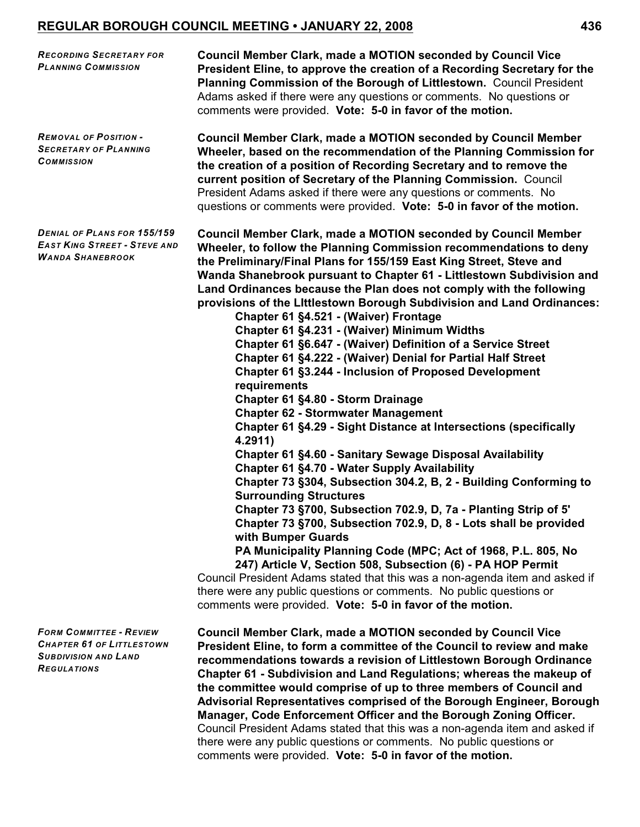*RECORDING SECRETARY FOR PLANNING COMMISSION* **Council Member Clark, made a MOTION seconded by Council Vice President Eline, to approve the creation of a Recording Secretary for the Planning Commission of the Borough of Littlestown.** Council President Adams asked if there were any questions or comments. No questions or comments were provided. **Vote: 5-0 in favor of the motion.** *REMOVAL OF POSITION - SECRETARY OF PLANNING COMMISSION* **Council Member Clark, made a MOTION seconded by Council Member Wheeler, based on the recommendation of the Planning Commission for the creation of a position of Recording Secretary and to remove the current position of Secretary of the Planning Commission.** Council President Adams asked if there were any questions or comments. No questions or comments were provided. **Vote: 5-0 in favor of the motion.** *DENIAL OF PLANS FOR 155/159 EAST KING STREET - STEVE AND WANDA SHANEBROOK* **Council Member Clark, made a MOTION seconded by Council Member Wheeler, to follow the Planning Commission recommendations to deny the Preliminary/Final Plans for 155/159 East King Street, Steve and Wanda Shanebrook pursuant to Chapter 61 - Littlestown Subdivision and Land Ordinances because the Plan does not comply with the following provisions of the LIttlestown Borough Subdivision and Land Ordinances: Chapter 61 §4.521 - (Waiver) Frontage Chapter 61 §4.231 - (Waiver) Minimum Widths Chapter 61 §6.647 - (Waiver) Definition of a Service Street Chapter 61 §4.222 - (Waiver) Denial for Partial Half Street Chapter 61 §3.244 - Inclusion of Proposed Development requirements Chapter 61 §4.80 - Storm Drainage Chapter 62 - Stormwater Management Chapter 61 §4.29 - Sight Distance at Intersections (specifically 4.2911) Chapter 61 §4.60 - Sanitary Sewage Disposal Availability Chapter 61 §4.70 - Water Supply Availability Chapter 73 §304, Subsection 304.2, B, 2 - Building Conforming to Surrounding Structures Chapter 73 §700, Subsection 702.9, D, 7a - Planting Strip of 5' Chapter 73 §700, Subsection 702.9, D, 8 - Lots shall be provided with Bumper Guards PA Municipality Planning Code (MPC; Act of 1968, P.L. 805, No 247) Article V, Section 508, Subsection (6) - PA HOP Permit** Council President Adams stated that this was a non-agenda item and asked if there were any public questions or comments. No public questions or comments were provided. **Vote: 5-0 in favor of the motion.** *FORM COMMITTEE - REVIEW CHAPTER 61 OF LITTLESTOWN SUBDIVISION AND LAND REGULATIONS* **Council Member Clark, made a MOTION seconded by Council Vice President Eline, to form a committee of the Council to review and make recommendations towards a revision of Littlestown Borough Ordinance Chapter 61 - Subdivision and Land Regulations; whereas the makeup of the committee would comprise of up to three members of Council and Advisorial Representatives comprised of the Borough Engineer, Borough Manager, Code Enforcement Officer and the Borough Zoning Officer.** Council President Adams stated that this was a non-agenda item and asked if there were any public questions or comments. No public questions or

comments were provided. **Vote: 5-0 in favor of the motion.**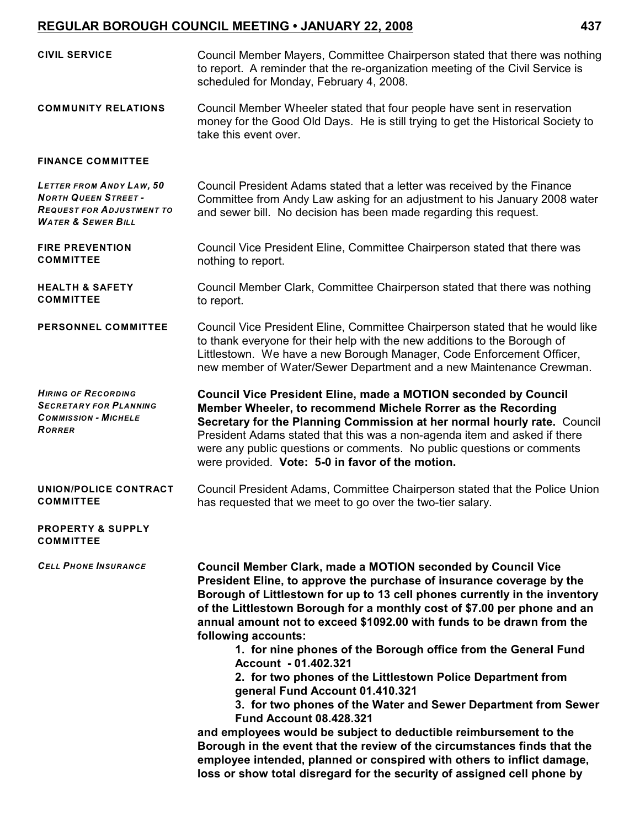| <b>CIVIL SERVICE</b>                                                                                                                | Council Member Mayers, Committee Chairperson stated that there was nothing<br>to report. A reminder that the re-organization meeting of the Civil Service is<br>scheduled for Monday, February 4, 2008.                                                                                                                                                                                                                                                                                                                                                                                                                                                                                                |
|-------------------------------------------------------------------------------------------------------------------------------------|--------------------------------------------------------------------------------------------------------------------------------------------------------------------------------------------------------------------------------------------------------------------------------------------------------------------------------------------------------------------------------------------------------------------------------------------------------------------------------------------------------------------------------------------------------------------------------------------------------------------------------------------------------------------------------------------------------|
| <b>COMMUNITY RELATIONS</b>                                                                                                          | Council Member Wheeler stated that four people have sent in reservation<br>money for the Good Old Days. He is still trying to get the Historical Society to<br>take this event over.                                                                                                                                                                                                                                                                                                                                                                                                                                                                                                                   |
| <b>FINANCE COMMITTEE</b>                                                                                                            |                                                                                                                                                                                                                                                                                                                                                                                                                                                                                                                                                                                                                                                                                                        |
| <b>LETTER FROM ANDY LAW, 50</b><br><b>NORTH QUEEN STREET -</b><br><b>REQUEST FOR ADJUSTMENT TO</b><br><b>WATER &amp; SEWER BILL</b> | Council President Adams stated that a letter was received by the Finance<br>Committee from Andy Law asking for an adjustment to his January 2008 water<br>and sewer bill. No decision has been made regarding this request.                                                                                                                                                                                                                                                                                                                                                                                                                                                                            |
| <b>FIRE PREVENTION</b><br><b>COMMITTEE</b>                                                                                          | Council Vice President Eline, Committee Chairperson stated that there was<br>nothing to report.                                                                                                                                                                                                                                                                                                                                                                                                                                                                                                                                                                                                        |
| <b>HEALTH &amp; SAFETY</b><br><b>COMMITTEE</b>                                                                                      | Council Member Clark, Committee Chairperson stated that there was nothing<br>to report.                                                                                                                                                                                                                                                                                                                                                                                                                                                                                                                                                                                                                |
| <b>PERSONNEL COMMITTEE</b>                                                                                                          | Council Vice President Eline, Committee Chairperson stated that he would like<br>to thank everyone for their help with the new additions to the Borough of<br>Littlestown. We have a new Borough Manager, Code Enforcement Officer,<br>new member of Water/Sewer Department and a new Maintenance Crewman.                                                                                                                                                                                                                                                                                                                                                                                             |
| <b>HIRING OF RECORDING</b><br><b>SECRETARY FOR PLANNING</b><br><b>COMMISSION - MICHELE</b><br><b>RORRER</b>                         | <b>Council Vice President Eline, made a MOTION seconded by Council</b><br>Member Wheeler, to recommend Michele Rorrer as the Recording<br>Secretary for the Planning Commission at her normal hourly rate. Council<br>President Adams stated that this was a non-agenda item and asked if there<br>were any public questions or comments. No public questions or comments<br>were provided. Vote: 5-0 in favor of the motion.                                                                                                                                                                                                                                                                          |
| UNION/POLICE CONTRACT<br><b>COMMITTEE</b>                                                                                           | Council President Adams, Committee Chairperson stated that the Police Union<br>has requested that we meet to go over the two-tier salary.                                                                                                                                                                                                                                                                                                                                                                                                                                                                                                                                                              |
| <b>PROPERTY &amp; SUPPLY</b><br><b>COMMITTEE</b>                                                                                    |                                                                                                                                                                                                                                                                                                                                                                                                                                                                                                                                                                                                                                                                                                        |
| <b>CELL PHONE INSURANCE</b>                                                                                                         | <b>Council Member Clark, made a MOTION seconded by Council Vice</b><br>President Eline, to approve the purchase of insurance coverage by the<br>Borough of Littlestown for up to 13 cell phones currently in the inventory<br>of the Littlestown Borough for a monthly cost of \$7.00 per phone and an<br>annual amount not to exceed \$1092.00 with funds to be drawn from the<br>following accounts:<br>1. for nine phones of the Borough office from the General Fund<br>Account - 01.402.321<br>2. for two phones of the Littlestown Police Department from<br>general Fund Account 01.410.321<br>3. for two phones of the Water and Sewer Department from Sewer<br><b>Fund Account 08.428.321</b> |
|                                                                                                                                     | and employees would be subject to deductible reimbursement to the<br>Borough in the event that the review of the circumstances finds that the<br>employee intended, planned or conspired with others to inflict damage,<br>loss or show total disregard for the security of assigned cell phone by                                                                                                                                                                                                                                                                                                                                                                                                     |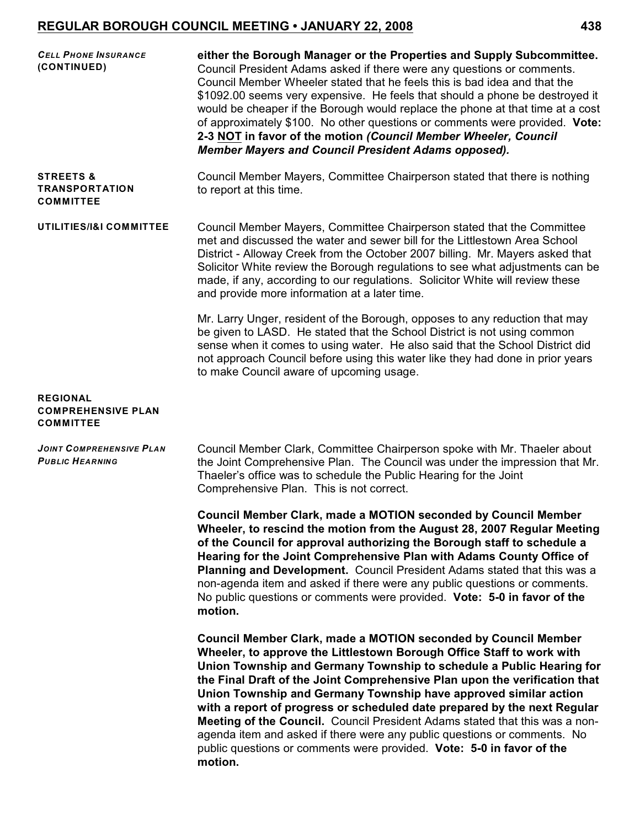| <b>CELL PHONE INSURANCE</b><br>(CONTINUED)                        | either the Borough Manager or the Properties and Supply Subcommittee.<br>Council President Adams asked if there were any questions or comments.<br>Council Member Wheeler stated that he feels this is bad idea and that the<br>\$1092.00 seems very expensive. He feels that should a phone be destroyed it<br>would be cheaper if the Borough would replace the phone at that time at a cost<br>of approximately \$100. No other questions or comments were provided. Vote:<br>2-3 NOT in favor of the motion (Council Member Wheeler, Council<br>Member Mayers and Council President Adams opposed).                                                                                             |
|-------------------------------------------------------------------|-----------------------------------------------------------------------------------------------------------------------------------------------------------------------------------------------------------------------------------------------------------------------------------------------------------------------------------------------------------------------------------------------------------------------------------------------------------------------------------------------------------------------------------------------------------------------------------------------------------------------------------------------------------------------------------------------------|
| <b>STREETS &amp;</b><br><b>TRANSPORTATION</b><br><b>COMMITTEE</b> | Council Member Mayers, Committee Chairperson stated that there is nothing<br>to report at this time.                                                                                                                                                                                                                                                                                                                                                                                                                                                                                                                                                                                                |
| UTILITIES/I&I COMMITTEE                                           | Council Member Mayers, Committee Chairperson stated that the Committee<br>met and discussed the water and sewer bill for the Littlestown Area School<br>District - Alloway Creek from the October 2007 billing. Mr. Mayers asked that<br>Solicitor White review the Borough regulations to see what adjustments can be<br>made, if any, according to our regulations. Solicitor White will review these<br>and provide more information at a later time.                                                                                                                                                                                                                                            |
|                                                                   | Mr. Larry Unger, resident of the Borough, opposes to any reduction that may<br>be given to LASD. He stated that the School District is not using common<br>sense when it comes to using water. He also said that the School District did<br>not approach Council before using this water like they had done in prior years<br>to make Council aware of upcoming usage.                                                                                                                                                                                                                                                                                                                              |
| <b>REGIONAL</b><br><b>COMPREHENSIVE PLAN</b><br><b>COMMITTEE</b>  |                                                                                                                                                                                                                                                                                                                                                                                                                                                                                                                                                                                                                                                                                                     |
| <b>JOINT COMPREHENSIVE PLAN</b><br><b>PUBLIC HEARNING</b>         | Council Member Clark, Committee Chairperson spoke with Mr. Thaeler about<br>the Joint Comprehensive Plan. The Council was under the impression that Mr.<br>Thaeler's office was to schedule the Public Hearing for the Joint<br>Comprehensive Plan. This is not correct.                                                                                                                                                                                                                                                                                                                                                                                                                            |
|                                                                   | Council Member Clark, made a MOTION seconded by Council Member<br>Wheeler, to rescind the motion from the August 28, 2007 Regular Meeting<br>of the Council for approval authorizing the Borough staff to schedule a<br>Hearing for the Joint Comprehensive Plan with Adams County Office of<br><b>Planning and Development.</b> Council President Adams stated that this was a<br>non-agenda item and asked if there were any public questions or comments.<br>No public questions or comments were provided. Vote: 5-0 in favor of the<br>motion.                                                                                                                                                 |
|                                                                   | <b>Council Member Clark, made a MOTION seconded by Council Member</b><br>Wheeler, to approve the Littlestown Borough Office Staff to work with<br>Union Township and Germany Township to schedule a Public Hearing for<br>the Final Draft of the Joint Comprehensive Plan upon the verification that<br>Union Township and Germany Township have approved similar action<br>with a report of progress or scheduled date prepared by the next Regular<br>Meeting of the Council. Council President Adams stated that this was a non-<br>agenda item and asked if there were any public questions or comments. No<br>public questions or comments were provided. Vote: 5-0 in favor of the<br>motion. |